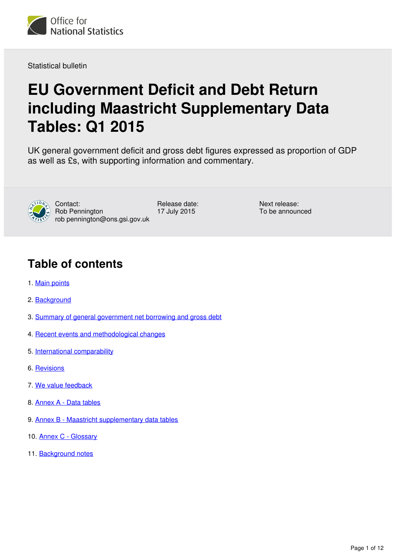

Statistical bulletin

# **EU Government Deficit and Debt Return including Maastricht Supplementary Data Tables: Q1 2015**

UK general government deficit and gross debt figures expressed as proportion of GDP as well as £s, with supporting information and commentary.



Contact: Rob Pennington rob pennington@ons.gsi.gov.uk Release date: 17 July 2015

Next release: To be announced

# **Table of contents**

- 1. [Main points](#page-1-0)
- 2. [Background](#page-1-1)
- 3. [Summary of general government net borrowing and gross debt](#page-1-2)
- 4. [Recent events and methodological changes](#page-4-0)
- 5. [International comparability](#page-5-0)
- 6. [Revisions](#page-6-0)
- 7. [We value feedback](#page-6-1)
- 8. [Annex A Data tables](#page-7-0)
- 9. [Annex B Maastricht supplementary data tables](#page-7-1)
- 10. [Annex C Glossary](#page-9-0)
- 11. [Background notes](#page-9-1)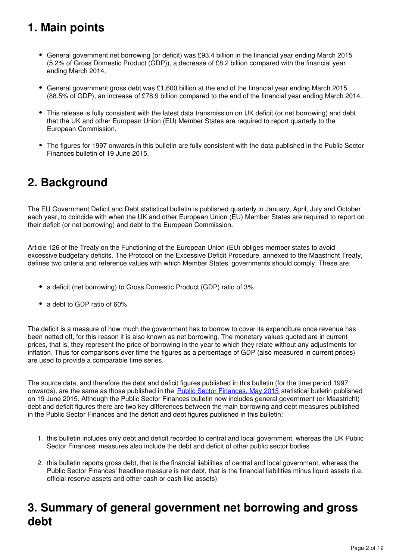# <span id="page-1-0"></span>**1. Main points**

- General government net borrowing (or deficit) was £93.4 billion in the financial year ending March 2015 (5.2% of Gross Domestic Product (GDP)), a decrease of £8.2 billion compared with the financial year ending March 2014.
- General government gross debt was £1,600 billion at the end of the financial year ending March 2015 (88.5% of GDP), an increase of £78.9 billion compared to the end of the financial year ending March 2014.
- This release is fully consistent with the latest data transmission on UK deficit (or net borrowing) and debt that the UK and other European Union (EU) Member States are required to report quarterly to the European Commission.
- The figures for 1997 onwards in this bulletin are fully consistent with the data published in the Public Sector Finances bulletin of 19 June 2015.

# <span id="page-1-1"></span>**2. Background**

The EU Government Deficit and Debt statistical bulletin is published quarterly in January, April, July and October each year, to coincide with when the UK and other European Union (EU) Member States are required to report on their deficit (or net borrowing) and debt to the European Commission.

Article 126 of the Treaty on the Functioning of the European Union (EU) obliges member states to avoid excessive budgetary deficits. The Protocol on the Excessive Deficit Procedure, annexed to the Maastricht Treaty, defines two criteria and reference values with which Member States' governments should comply. These are:

- a deficit (net borrowing) to Gross Domestic Product (GDP) ratio of 3%
- a debt to GDP ratio of 60%

The deficit is a measure of how much the government has to borrow to cover its expenditure once revenue has been netted off, for this reason it is also known as net borrowing. The monetary values quoted are in current prices, that is, they represent the price of borrowing in the year to which they relate without any adjustments for inflation. Thus for comparisons over time the figures as a percentage of GDP (also measured in current prices) are used to provide a comparable time series.

The source data, and therefore the debt and deficit figures published in this bulletin (for the time period 1997 onwards), are the same as those published in the **[Public Sector Finances, May 2015](http://www.ons.gov.uk/ons/rel/psa/public-sector-finances/may-2015/stb-psf-may-2015.html)** statistical bulletin published on 19 June 2015. Although the Public Sector Finances bulletin now includes general government (or Maastricht) debt and deficit figures there are two key differences between the main borrowing and debt measures published in the Public Sector Finances and the deficit and debt figures published in this bulletin:

- 1. this bulletin includes only debt and deficit recorded to central and local government, whereas the UK Public Sector Finances' measures also include the debt and deficit of other public sector bodies
- 2. this bulletin reports gross debt, that is the financial liabilities of central and local government, whereas the Public Sector Finances' headline measure is net debt, that is the financial liabilities minus liquid assets (i.e. official reserve assets and other cash or cash-like assets)

# <span id="page-1-2"></span>**3. Summary of general government net borrowing and gross debt**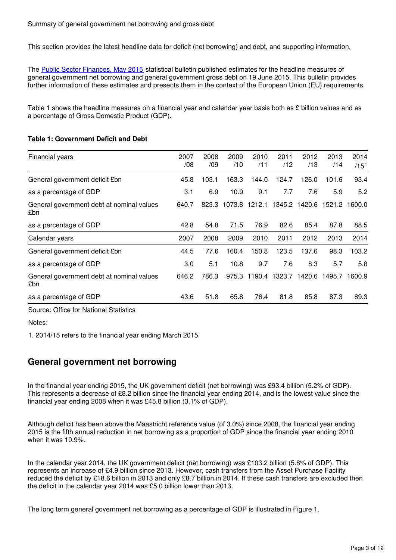This section provides the latest headline data for deficit (net borrowing) and debt, and supporting information.

The [Public Sector Finances, May 2015](http://www.ons.gov.uk/ons/rel/psa/public-sector-finances/may-2015/stb-psf-may-2015.html) statistical bulletin published estimates for the headline measures of general government net borrowing and general government gross debt on 19 June 2015. This bulletin provides further information of these estimates and presents them in the context of the European Union (EU) requirements.

Table 1 shows the headline measures on a financial year and calendar year basis both as £ billion values and as a percentage of Gross Domestic Product (GDP).

#### **Table 1: Government Deficit and Debt**

| Financial years                                  | 2007<br>/08 | 2008<br>/09 | 2009<br>/10 | 2010<br>/11 | 2011<br>/12          | 2012<br>/13 | 2013<br>/14                                     | 2014<br>$/15^{1}$ |
|--------------------------------------------------|-------------|-------------|-------------|-------------|----------------------|-------------|-------------------------------------------------|-------------------|
|                                                  |             |             |             |             |                      |             |                                                 |                   |
| General government deficit £bn                   | 45.8        | 103.1       | 163.3       | 144.0       | 124.7                | 126.0       | 101.6                                           | 93.4              |
| as a percentage of GDP                           | 3.1         | 6.9         | 10.9        | 9.1         | 7.7                  | 7.6         | 5.9                                             | 5.2               |
| General government debt at nominal values<br>£bn | 640.7       |             |             |             |                      |             | 823.3 1073.8 1212.1 1345.2 1420.6 1521.2 1600.0 |                   |
| as a percentage of GDP                           | 42.8        | 54.8        | 71.5        | 76.9        | 82.6                 | 85.4        | 87.8                                            | 88.5              |
| Calendar years                                   | 2007        | 2008        | 2009        | 2010        | 2011                 | 2012        | 2013                                            | 2014              |
| General government deficit £bn                   | 44.5        | 77.6        | 160.4       | 150.8       | 123.5                | 137.6       | 98.3                                            | 103.2             |
| as a percentage of GDP                           | 3.0         | 5.1         | 10.8        | 9.7         | 7.6                  | 8.3         | 5.7                                             | 5.8               |
| General government debt at nominal values<br>£bn | 646.2       | 786.3       | 975.3       |             | 1190.4 1323.7 1420.6 |             | 1495.7                                          | 1600.9            |
| as a percentage of GDP                           | 43.6        | 51.8        | 65.8        | 76.4        | 81.8                 | 85.8        | 87.3                                            | 89.3              |

Source: Office for National Statistics

Notes:

1. 2014/15 refers to the financial year ending March 2015.

### **General government net borrowing**

In the financial year ending 2015, the UK government deficit (net borrowing) was £93.4 billion (5.2% of GDP). This represents a decrease of £8.2 billion since the financial year ending 2014, and is the lowest value since the financial year ending 2008 when it was £45.8 billion (3.1% of GDP).

Although deficit has been above the Maastricht reference value (of 3.0%) since 2008, the financial year ending 2015 is the fifth annual reduction in net borrowing as a proportion of GDP since the financial year ending 2010 when it was 10.9%.

In the calendar year 2014, the UK government deficit (net borrowing) was £103.2 billion (5.8% of GDP). This represents an increase of £4.9 billion since 2013. However, cash transfers from the Asset Purchase Facility reduced the deficit by £18.6 billion in 2013 and only £8.7 billion in 2014. If these cash transfers are excluded then the deficit in the calendar year 2014 was £5.0 billion lower than 2013.

The long term general government net borrowing as a percentage of GDP is illustrated in Figure 1.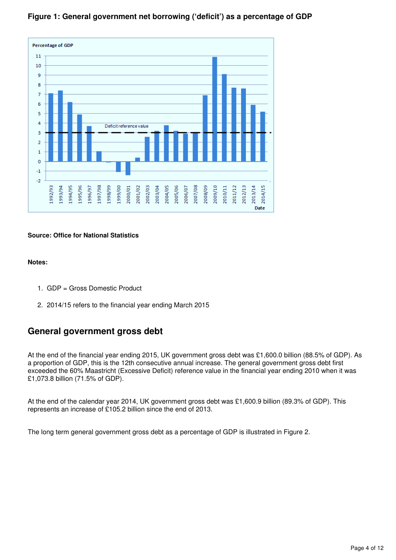

### **Figure 1: General government net borrowing ('deficit') as a percentage of GDP**

### **Source: Office for National Statistics**

### **Notes:**

- 1. GDP = Gross Domestic Product
- 2. 2014/15 refers to the financial year ending March 2015

### **General government gross debt**

At the end of the financial year ending 2015, UK government gross debt was £1,600.0 billion (88.5% of GDP). As a proportion of GDP, this is the 12th consecutive annual increase. The general government gross debt first exceeded the 60% Maastricht (Excessive Deficit) reference value in the financial year ending 2010 when it was £1,073.8 billion (71.5% of GDP).

At the end of the calendar year 2014, UK government gross debt was £1,600.9 billion (89.3% of GDP). This represents an increase of £105.2 billion since the end of 2013.

The long term general government gross debt as a percentage of GDP is illustrated in Figure 2.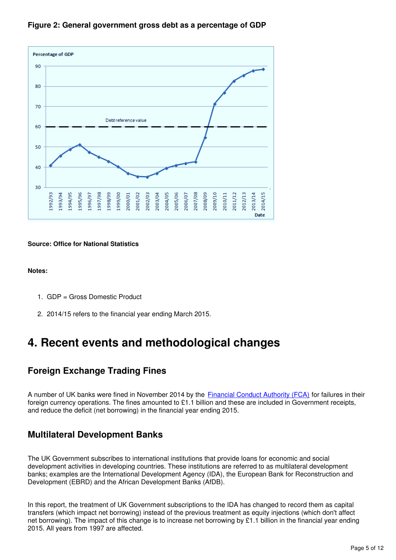

### **Figure 2: General government gross debt as a percentage of GDP**

### **Source: Office for National Statistics**

**Notes:**

- 1. GDP = Gross Domestic Product
- 2. 2014/15 refers to the financial year ending March 2015.

# <span id="page-4-0"></span>**4. Recent events and methodological changes**

### **Foreign Exchange Trading Fines**

A number of UK banks were fined in November 2014 by the [Financial Conduct Authority \(FCA\)](http://www.fca.org.uk/firms/being-regulated/enforcement/fines) for failures in their foreign currency operations. The fines amounted to £1.1 billion and these are included in Government receipts, and reduce the deficit (net borrowing) in the financial year ending 2015.

### **Multilateral Development Banks**

The UK Government subscribes to international institutions that provide loans for economic and social development activities in developing countries. These institutions are referred to as multilateral development banks; examples are the International Development Agency (IDA), the European Bank for Reconstruction and Development (EBRD) and the African Development Banks (AfDB).

In this report, the treatment of UK Government subscriptions to the IDA has changed to record them as capital transfers (which impact net borrowing) instead of the previous treatment as equity injections (which don't affect net borrowing). The impact of this change is to increase net borrowing by £1.1 billion in the financial year ending 2015. All years from 1997 are affected.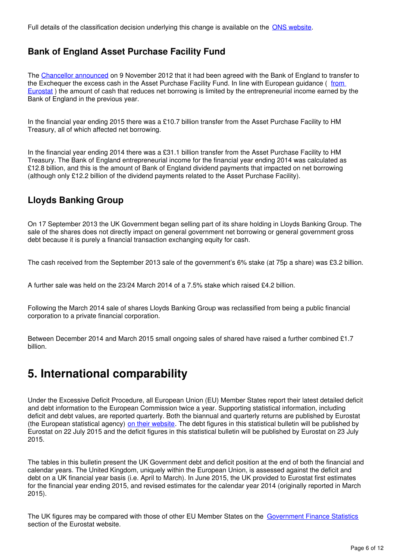Full details of the classification decision underlying this change is available on the ONS website.

# **Bank of England Asset Purchase Facility Fund**

The [Chancellor announced](http://www.ons.gov.uk/ons/external-links/other-government-departments/hmt/hm-treasury--changes-to-cash-management-operations.html) on 9 November 2012 that it had been agreed with the Bank of England to transfer to the Exchequer the excess cash in the Asset Purchase Facility Fund. In line with European guidance (from [Eurostat](http://ec.europa.eu/eurostat/web/government-finance-statistics/methodology/advice-to-member-states) ) the amount of cash that reduces net borrowing is limited by the entrepreneurial income earned by the Bank of England in the previous year.

In the financial year ending 2015 there was a £10.7 billion transfer from the Asset Purchase Facility to HM Treasury, all of which affected net borrowing.

In the financial year ending 2014 there was a £31.1 billion transfer from the Asset Purchase Facility to HM Treasury. The Bank of England entrepreneurial income for the financial year ending 2014 was calculated as £12.8 billion, and this is the amount of Bank of England dividend payments that impacted on net borrowing (although only £12.2 billion of the dividend payments related to the Asset Purchase Facility).

# **Lloyds Banking Group**

On 17 September 2013 the UK Government began selling part of its share holding in Lloyds Banking Group. The sale of the shares does not directly impact on general government net borrowing or general government gross debt because it is purely a financial transaction exchanging equity for cash.

The cash received from the September 2013 sale of the government's 6% stake (at 75p a share) was £3.2 billion.

A further sale was held on the 23/24 March 2014 of a 7.5% stake which raised £4.2 billion.

Following the March 2014 sale of shares Lloyds Banking Group was reclassified from being a public financial corporation to a private financial corporation.

Between December 2014 and March 2015 small ongoing sales of shared have raised a further combined £1.7 billion.

# <span id="page-5-0"></span>**5. International comparability**

Under the Excessive Deficit Procedure, all European Union (EU) Member States report their latest detailed deficit and debt information to the European Commission twice a year. Supporting statistical information, including deficit and debt values, are reported quarterly. Both the biannual and quarterly returns are published by Eurostat (the European statistical agency) [on their website](http://www.ons.gov.uk/ons/external-links/other-government-departments/eurostat/eurostat-press-release.html). The debt figures in this statistical bulletin will be published by Eurostat on 22 July 2015 and the deficit figures in this statistical bulletin will be published by Eurostat on 23 July 2015.

The tables in this bulletin present the UK Government debt and deficit position at the end of both the financial and calendar years. The United Kingdom, uniquely within the European Union, is assessed against the deficit and debt on a UK financial year basis (i.e. April to March). In June 2015, the UK provided to Eurostat first estimates for the financial year ending 2015, and revised estimates for the calendar year 2014 (originally reported in March 2015).

The UK figures may be compared with those of other EU Member States on the [Government Finance Statistics](http://www.ons.gov.uk/ons/external-links/other-government-departments/eurostat/eurostat-press-release.html) section of the Eurostat website.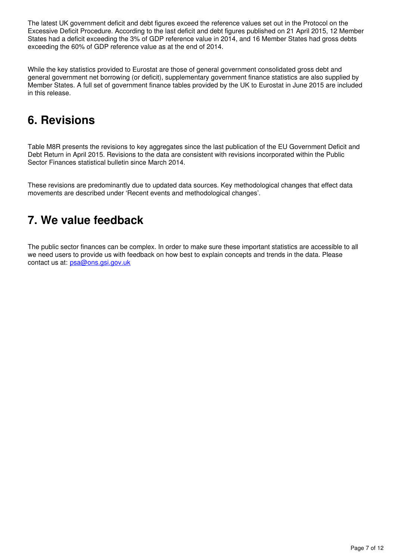The latest UK government deficit and debt figures exceed the reference values set out in the Protocol on the Excessive Deficit Procedure. According to the last deficit and debt figures published on 21 April 2015, 12 Member States had a deficit exceeding the 3% of GDP reference value in 2014, and 16 Member States had gross debts exceeding the 60% of GDP reference value as at the end of 2014.

While the key statistics provided to Eurostat are those of general government consolidated gross debt and general government net borrowing (or deficit), supplementary government finance statistics are also supplied by Member States. A full set of government finance tables provided by the UK to Eurostat in June 2015 are included in this release.

# <span id="page-6-0"></span>**6. Revisions**

Table M8R presents the revisions to key aggregates since the last publication of the EU Government Deficit and Debt Return in April 2015. Revisions to the data are consistent with revisions incorporated within the Public Sector Finances statistical bulletin since March 2014.

These revisions are predominantly due to updated data sources. Key methodological changes that effect data movements are described under 'Recent events and methodological changes'.

# <span id="page-6-1"></span>**7. We value feedback**

The public sector finances can be complex. In order to make sure these important statistics are accessible to all we need users to provide us with feedback on how best to explain concepts and trends in the data. Please contact us at: psa@ons.gsi.gov.uk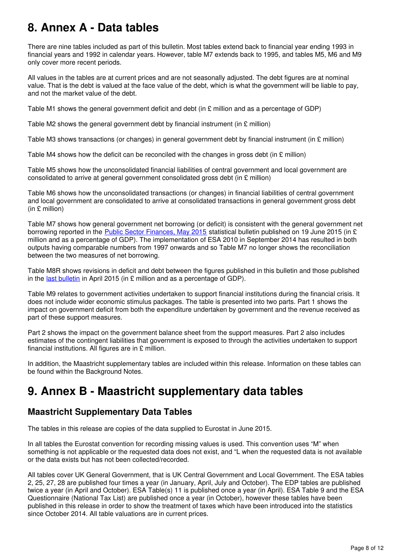# <span id="page-7-0"></span>**8. Annex A - Data tables**

There are nine tables included as part of this bulletin. Most tables extend back to financial year ending 1993 in financial years and 1992 in calendar years. However, table M7 extends back to 1995, and tables M5, M6 and M9 only cover more recent periods.

All values in the tables are at current prices and are not seasonally adjusted. The debt figures are at nominal value. That is the debt is valued at the face value of the debt, which is what the government will be liable to pay, and not the market value of the debt.

Table M1 shows the general government deficit and debt (in £ million and as a percentage of GDP)

Table M2 shows the general government debt by financial instrument (in  $\epsilon$  million)

Table M3 shows transactions (or changes) in general government debt by financial instrument (in £ million)

Table M4 shows how the deficit can be reconciled with the changes in gross debt (in  $\epsilon$  million)

Table M5 shows how the unconsolidated financial liabilities of central government and local government are consolidated to arrive at general government consolidated gross debt (in £ million)

Table M6 shows how the unconsolidated transactions (or changes) in financial liabilities of central government and local government are consolidated to arrive at consolidated transactions in general government gross debt (in £ million)

Table M7 shows how general government net borrowing (or deficit) is consistent with the general government net borrowing reported in the **[Public Sector Finances, May 2015](http://www.ons.gov.uk/ons/rel/psa/public-sector-finances/may-2015/stb-psf-may-2015.html)** statistical bulletin published on 19 June 2015 (in £ million and as a percentage of GDP). The implementation of ESA 2010 in September 2014 has resulted in both outputs having comparable numbers from 1997 onwards and so Table M7 no longer shows the reconciliation between the two measures of net borrowing.

Table M8R shows revisions in deficit and debt between the figures published in this bulletin and those published in the last bulletin in April 2015 (in  $E$  million and as a percentage of GDP).

Table M9 relates to government activities undertaken to support financial institutions during the financial crisis. It does not include wider economic stimulus packages. The table is presented into two parts. Part 1 shows the impact on government deficit from both the expenditure undertaken by government and the revenue received as part of these support measures.

Part 2 shows the impact on the government balance sheet from the support measures. Part 2 also includes estimates of the contingent liabilities that government is exposed to through the activities undertaken to support financial institutions. All figures are in  $E$  million.

In addition, the Maastricht supplementary tables are included within this release. Information on these tables can be found within the Background Notes.

# <span id="page-7-1"></span>**9. Annex B - Maastricht supplementary data tables**

### **Maastricht Supplementary Data Tables**

The tables in this release are copies of the data supplied to Eurostat in June 2015.

In all tables the Eurostat convention for recording missing values is used. This convention uses "M" when something is not applicable or the requested data does not exist, and "L when the requested data is not available or the data exists but has not been collected/recorded.

All tables cover UK General Government, that is UK Central Government and Local Government. The ESA tables 2, 25, 27, 28 are published four times a year (in January, April, July and October). The EDP tables are published twice a year (in April and October). ESA Table(s) 11 is published once a year (in April). ESA Table 9 and the ESA Questionnaire (National Tax List) are published once a year (in October), however these tables have been published in this release in order to show the treatment of taxes which have been introduced into the statistics since October 2014. All table valuations are in current prices.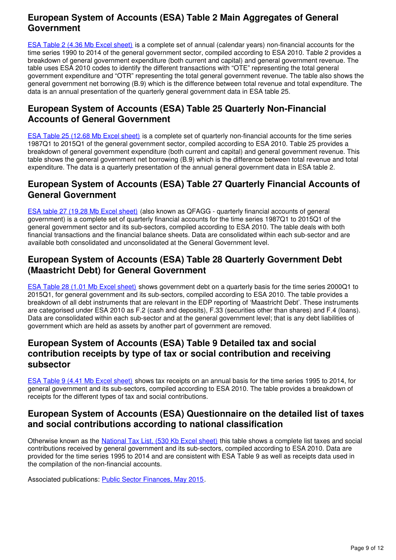# **European System of Accounts (ESA) Table 2 Main Aggregates of General Government**

[ESA Table 2 \(4.36 Mb Excel sheet\)](http://www.ons.gov.uk/ons/rel/psa/maast-supplementary-data-tables/q1-2015/rft---esa-table-2.xls) is a complete set of annual (calendar years) non-financial accounts for the time series 1990 to 2014 of the general government sector, compiled according to ESA 2010. Table 2 provides a breakdown of general government expenditure (both current and capital) and general government revenue. The table uses ESA 2010 codes to identify the different transactions with "OTE" representing the total general government expenditure and "OTR" representing the total general government revenue. The table also shows the general government net borrowing (B.9) which is the difference between total revenue and total expenditure. The data is an annual presentation of the quarterly general government data in ESA table 25.

# **European System of Accounts (ESA) Table 25 Quarterly Non-Financial Accounts of General Government**

[ESA Table 25 \(12.68 Mb Excel sheet\)](http://www.ons.gov.uk/ons/rel/psa/maast-supplementary-data-tables/q1-2015/rft---esa-table-25.xls) is a complete set of quarterly non-financial accounts for the time series 1987Q1 to 2015Q1 of the general government sector, compiled according to ESA 2010. Table 25 provides a breakdown of general government expenditure (both current and capital) and general government revenue. This table shows the general government net borrowing (B.9) which is the difference between total revenue and total expenditure. The data is a quarterly presentation of the annual general government data in ESA table 2.

### **European System of Accounts (ESA) Table 27 Quarterly Financial Accounts of General Government**

[ESA table 27 \(19.28 Mb Excel sheet\)](http://www.ons.gov.uk/ons/rel/psa/maast-supplementary-data-tables/q1-2015/rft---esa-table-27.xls) (also known as QFAGG - quarterly financial accounts of general government) is a complete set of quarterly financial accounts for the time series 1987Q1 to 2015Q1 of the general government sector and its sub-sectors, compiled according to ESA 2010. The table deals with both financial transactions and the financial balance sheets. Data are consolidated within each sub-sector and are available both consolidated and unconsolidated at the General Government level.

# **European System of Accounts (ESA) Table 28 Quarterly Government Debt (Maastricht Debt) for General Government**

[ESA Table 28 \(1.01 Mb Excel sheet\)](http://www.ons.gov.uk/ons/rel/psa/maast-supplementary-data-tables/q1-2015/rft---esa-table-28.xls) shows government debt on a quarterly basis for the time series 2000Q1 to 2015Q1, for general government and its sub-sectors, compiled according to ESA 2010. The table provides a breakdown of all debt instruments that are relevant in the EDP reporting of 'Maastricht Debt'. These instruments are categorised under ESA 2010 as F.2 (cash and deposits), F.33 (securities other than shares) and F.4 (loans). Data are consolidated within each sub-sector and at the general government level; that is any debt liabilities of government which are held as assets by another part of government are removed.

# **European System of Accounts (ESA) Table 9 Detailed tax and social contribution receipts by type of tax or social contribution and receiving subsector**

[ESA Table 9 \(4.41 Mb Excel sheet\)](http://www.ons.gov.uk/ons/rel/psa/maast-supplementary-data-tables/q1-2015/rft---esa-table-9.xls) shows tax receipts on an annual basis for the time series 1995 to 2014, for general government and its sub-sectors, compiled according to ESA 2010. The table provides a breakdown of receipts for the different types of tax and social contributions.

### **European System of Accounts (ESA) Questionnaire on the detailed list of taxes and social contributions according to national classification**

Otherwise known as the [National Tax List, \(530 Kb Excel sheet\)](http://www.ons.gov.uk/ons/rel/psa/maast-supplementary-data-tables/q1-2015/rft---esa-table-9--national-tax-list-.xls) this table shows a complete list taxes and social contributions received by general government and its sub-sectors, compiled according to ESA 2010. Data are provided for the time series 1995 to 2014 and are consistent with ESA Table 9 as well as receipts data used in the compilation of the non-financial accounts.

Associated publications: Public Sector Finances, May 2015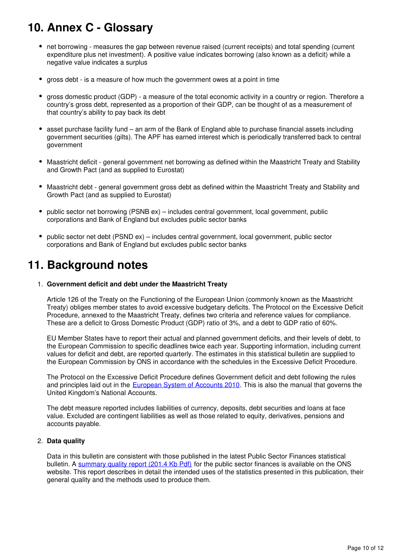# <span id="page-9-0"></span>**10. Annex C - Glossary**

- net borrowing measures the gap between revenue raised (current receipts) and total spending (current expenditure plus net investment). A positive value indicates borrowing (also known as a deficit) while a negative value indicates a surplus
- gross debt is a measure of how much the government owes at a point in time
- gross domestic product (GDP) a measure of the total economic activity in a country or region. Therefore a country's gross debt, represented as a proportion of their GDP, can be thought of as a measurement of that country's ability to pay back its debt
- asset purchase facility fund an arm of the Bank of England able to purchase financial assets including government securities (gilts). The APF has earned interest which is periodically transferred back to central government
- Maastricht deficit general government net borrowing as defined within the Maastricht Treaty and Stability and Growth Pact (and as supplied to Eurostat)
- Maastricht debt general government gross debt as defined within the Maastricht Treaty and Stability and Growth Pact (and as supplied to Eurostat)
- public sector net borrowing (PSNB ex) includes central government, local government, public corporations and Bank of England but excludes public sector banks
- public sector net debt (PSND ex) includes central government, local government, public sector corporations and Bank of England but excludes public sector banks

# <span id="page-9-1"></span>**11. Background notes**

#### 1. **Government deficit and debt under the Maastricht Treaty**

Article 126 of the Treaty on the Functioning of the European Union (commonly known as the Maastricht Treaty) obliges member states to avoid excessive budgetary deficits. The Protocol on the Excessive Deficit Procedure, annexed to the Maastricht Treaty, defines two criteria and reference values for compliance. These are a deficit to Gross Domestic Product (GDP) ratio of 3%, and a debt to GDP ratio of 60%.

EU Member States have to report their actual and planned government deficits, and their levels of debt, to the European Commission to specific deadlines twice each year. Supporting information, including current values for deficit and debt, are reported quarterly. The estimates in this statistical bulletin are supplied to the European Commission by ONS in accordance with the schedules in the Excessive Deficit Procedure.

The Protocol on the Excessive Deficit Procedure defines Government deficit and debt following the rules and principles laid out in the European System of Accounts 2010[.](http://www.ons.gov.uk/ons/external-links/other/eurostat/eurostat--esa2010.html) This is also the manual that governs the United Kingdom's National Accounts.

The debt measure reported includes liabilities of currency, deposits, debt securities and loans at face value. Excluded are contingent liabilities as well as those related to equity, derivatives, pensions and accounts payable.

### 2. **Data quality**

Data in this bulletin are consistent with those published in the latest Public Sector Finances statistical bulletin. A [summary quality report \(201.4 Kb Pdf\)](http://www.ons.gov.uk/ons/guide-method/method-quality/quality/quality-information/economy/summary-quality-report-for-public-sector-finances.pdf) for the public sector finances is available on the ONS website. This report describes in detail the intended uses of the statistics presented in this publication, their general quality and the methods used to produce them.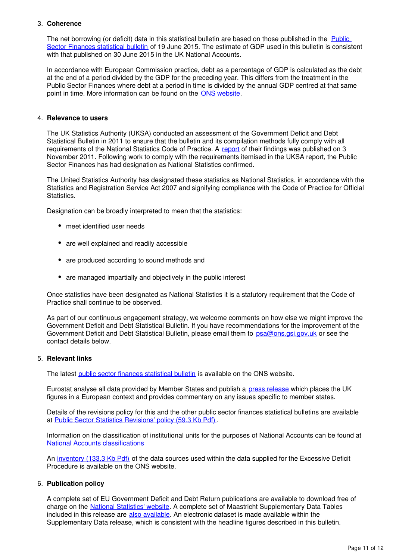### 3. **Coherence**

The net borrowing (or deficit) data in this statistical bulletin are based on those published in the Public [Sector Finances statistical bulletin](http://www.ons.gov.uk/ons/rel/psa/public-sector-finances/may-2015/stb-psf-may-2015.html) of 19 June 2015. The estimate of GDP used in this bulletin is consistent with that published on 30 June 2015 in the UK National Accounts.

In accordance with European Commission practice, debt as a percentage of GDP is calculated as the debt at the end of a period divided by the GDP for the preceding year. This differs from the treatment in the Public Sector Finances where debt at a period in time is divided by the annual GDP centred at that same point in time. More information can be found on the ONS website.

#### 4. **Relevance to users**

The UK Statistics Authority (UKSA) conducted an assessment of the Government Deficit and Debt Statistical Bulletin in 2011 to ensure that the bulletin and its compilation methods fully comply with all requirements of the National Statistics Code of Practice. A [report](http://www.statisticsauthority.gov.uk/assessment/assessment/assessment-reports/assessment-report-144---statistics-on-public-sector-finances.pdf) of their findings was published on 3 November 2011. Following work to comply with the requirements itemised in the UKSA report, the Public Sector Finances has had designation as National Statistics confirmed.

The United Statistics Authority has designated these statistics as National Statistics, in accordance with the Statistics and Registration Service Act 2007 and signifying compliance with the Code of Practice for Official Statistics.

Designation can be broadly interpreted to mean that the statistics:

- meet identified user needs
- are well explained and readily accessible
- are produced according to sound methods and
- are managed impartially and objectively in the public interest

Once statistics have been designated as National Statistics it is a statutory requirement that the Code of Practice shall continue to be observed.

As part of our continuous engagement strategy, we welcome comments on how else we might improve the Government Deficit and Debt Statistical Bulletin. If you have recommendations for the improvement of the Government Deficit and Debt Statistical Bulletin, please email them to psa@ons.gsi.gov.uk or see the contact details below.

### 5. **Relevant links**

The latest [public sector finances statistical bulletin](http://www.ons.gov.uk/ons/rel/psa/public-sector-finances/may-2015/stb-psf-may-2015.html) is available on the ONS website.

Eurostat analyse all data provided by Member States and publish a [press release](http://www.ons.gov.uk/ons/external-links/other-government-departments/eurostat/eurostat-press-release.html) which places the UK figures in a European context and provides commentary on any issues specific to member states.

Details of the revisions policy for this and the other public sector finances statistical bulletins are available at [Public Sector Statistics Revisions' policy \(59.3 Kb Pdf\)](http://www.ons.gov.uk/ons/guide-method/revisions/revisions-policies-by-theme/economy/public-sector-accounts-revisions-policy.pdf).

Information on the classification of institutional units for the purposes of National Accounts can be found at [National Accounts classifications](http://www.ons.gov.uk/ons/guide-method/classifications/na-classifications/classification-updates/index.html)

An [inventory \(133.3 Kb Pdf\)](http://www.ons.gov.uk/ons/rel/psa/eu-government-debt-and-deficit-returns/supporting-information/description-of-sources-and-methods-in-the-context-of-the-transmission-of-the-edp-notification-tables.pdf) of the data sources used within the data supplied for the Excessive Deficit Procedure is available on the ONS website.

### 6. **Publication policy**

A complete set of EU Government Deficit and Debt Return publications are available to download free of charge on the **[National Statistics' website](http://www.ons.gov.uk/ons/rel/psa/eu-government-debt-and-deficit-returns/index.html)**[.](http://www.ons.gov.uk/ons/rel/psa/eu-government-debt-and-deficit-returns/index.html) A complete set of Maastricht Supplementary Data Tables included in this release are [also available](http://www.ons.gov.uk/ons/rel/psa/maast-supplementary-data-tables/index.html). An electronic dataset is made available within the Supplementary Data release, which is consistent with the headline figures described in this bulletin.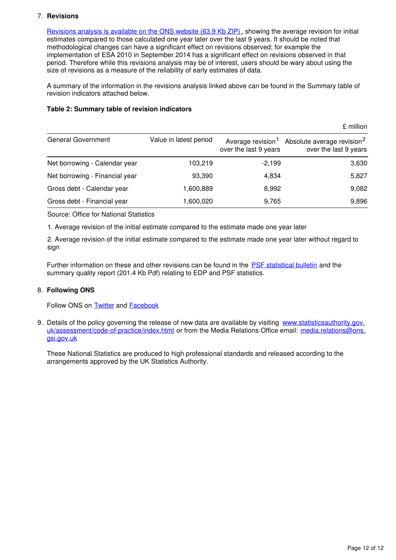### 7. **Revisions**

[Revisions analysis is available on the ONS website \(63.9 Kb ZIP\),](http://www.ons.gov.uk/ons/rel/psa/maast-supplementary-data-tables/q1-2015/rft---revisions-analysis.zip) showing the average revision for initial estimates compared to those calculated one year later over the last 9 years. It should be noted that methodological changes can have a significant effect on revisions observed; for example the implementation of ESA 2010 in September 2014 has a significant effect on revisions observed in that period. Therefore while this revisions analysis may be of interest, users should be wary about using the size of revisions as a measure of the reliability of early estimates of data.

A summary of the information in the revisions analysis linked above can be found in the Summary table of revision indicators attached below.

#### **Table 2: Summary table of revision indicators**

 $\mathfrak k$  million to the contract of the contract of the contract of the contract of the contract of the contract of the contract of the contract of the contract of the contract of the contract of the contract of the contra General Government Value in latest period Average revision<sup>1</sup> over the last 9 years Absolute average revision<sup>2</sup> over the last 9 years Net borrowing - Calendar year 103,219 -2,199 -2,199 3,630 Net borrowing - Financial year 193,390 4,834 5,827 Gross debt - Calendar year 1,600,889 8,992 8,992 8,992 8,082 Gross debt - Financial year 1,600,020 9,765 9,896

Source: Office for National Statistics

1. Average revision of the initial estimate compared to the estimate made one year later

2. Average revision of the initial estimate compared to the estimate made one year later without regard to sign

Further information on these and other revisions can be found in the [PSF statistical bulletin](http://www.ons.gov.uk/ons/rel/psa/public-sector-finances/may-2015/stb-psf-may-2015.html) and the summary quality report (201.4 Kb Pdf) relating to EDP and PSF statistics.

### 8. **Following ONS**

Follow ONS on **[Twitter](http://www.ons.gov.uk/ons/external-links/social-media/twitter.html)** and **[Facebook](http://www.ons.gov.uk/ons/external-links/social-media/index.html)** 

9. Details of the policy governing the release of new data are available by visiting [www.statisticsauthority.gov.](http://www.statisticsauthority.gov.uk/assessment/code-of-practice/index.html) [uk/assessment/code-of-practice/index.html](http://www.statisticsauthority.gov.uk/assessment/code-of-practice/index.html) or from the Media Relations Office email: media.relations@ons. gsi.gov.uk

These National Statistics are produced to high professional standards and released according to the arrangements approved by the UK Statistics Authority.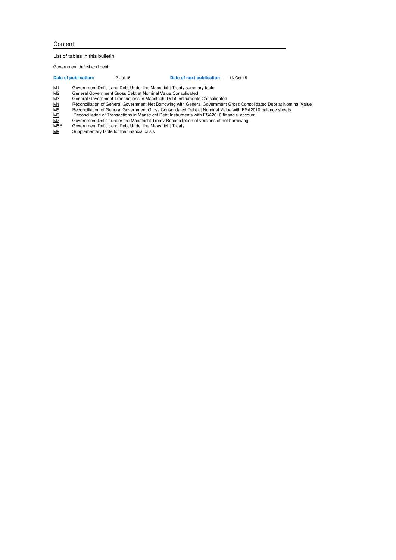#### Content

#### List of tables in this bulletin

Government deficit and debt

**Date of publication:** 17-Jul-15 **Date of next publication:** 16-Oct-15

M1 Government Deficit and Debt Under the Maastricht Treaty summary table

M2 General Government Gross Debt at Nominal Value Consolidated

- Reconciliation of General Government Net Borrowing with General Government Gross Consolidated Debt at Nominal Value
- Reconciliation of General Government Gross Consolidated Debt at Nominal Value with ESA2010 balance sheets
- $\begin{tabular}{ll} \underline{\text{M1}} & \text{Government Deficit and Debt Under the Maastricht Treaty summary table} \\ \underline{\text{M2}} & \text{General Government Grass Det at Nominal Value Consider} \\ \underline{\text{M3}} & \text{Reconciliation of General Government Net Borrowum and.} \\ \underline{\text{M4}} & \text{Reconciliation of General Government.} \\ \underline{\text{M5}} & \text{Reconciliation of General Government.} \\ \underline{\text{M6}} & \text{Reconciliation of Transactions in Maastricht.} \\ \underline{\text{M6}} & \text{Covernement Deficit under the Maastricht.} \\ \underline{\text{M7}} & \text{Government Deficit under the Maastricht.} \\ \end{tabular}$ Reconciliation of Transactions in Maastricht Debt Instruments with ESA2010 financial account
- M7 Government Deficit under the Maastricht Treaty Reconciliation of versions of net borrowing M8R Government Deficit and Debt Under the Maastricht Treaty
- M9 Supplementary table for the financial crisis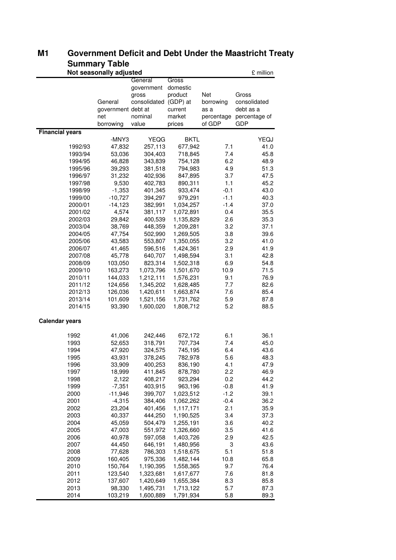|                        | annnar yn awlu<br>Not seasonally adjusted |              |             |            |               |  |  |  |  |
|------------------------|-------------------------------------------|--------------|-------------|------------|---------------|--|--|--|--|
|                        |                                           | General      | Gross       |            | £ million     |  |  |  |  |
|                        |                                           | government   | domestic    |            |               |  |  |  |  |
|                        |                                           | gross        | product     | Net        | Gross         |  |  |  |  |
|                        | General                                   | consolidated | (GDP) at    | borrowing  | consolidated  |  |  |  |  |
|                        | government debt at                        |              | current     | as a       | debt as a     |  |  |  |  |
|                        | net                                       | nominal      | market      | percentage | percentage of |  |  |  |  |
|                        | borrowing                                 | value        | prices      | of GDP     | <b>GDP</b>    |  |  |  |  |
| <b>Financial years</b> |                                           |              |             |            |               |  |  |  |  |
|                        | -MNY3                                     | <b>YEQG</b>  | <b>BKTL</b> |            | YEQJ          |  |  |  |  |
| 1992/93                | 47,832                                    | 257,113      | 677,942     | 7.1        | 41.0          |  |  |  |  |
| 1993/94                | 53,036                                    | 304,403      | 718,845     | 7.4        | 45.8          |  |  |  |  |
| 1994/95                | 46,828                                    | 343,839      | 754,128     | 6.2        | 48.9          |  |  |  |  |
| 1995/96                | 39,293                                    | 381,518      | 794,983     | 4.9        | 51.3          |  |  |  |  |
| 1996/97                | 31,232                                    | 402,936      | 847,895     | 3.7        | 47.5          |  |  |  |  |
| 1997/98                | 9,530                                     | 402,783      | 890,311     | 1.1        | 45.2          |  |  |  |  |
| 1998/99                | $-1,353$                                  | 401,345      | 933,474     | $-0.1$     | 43.0          |  |  |  |  |
| 1999/00                | $-10,727$                                 | 394,297      | 979,291     | $-1.1$     | 40.3          |  |  |  |  |
| 2000/01                | $-14,123$                                 | 382,991      | 1,034,257   | $-1.4$     | 37.0          |  |  |  |  |
| 2001/02                | 4,574                                     | 381,117      | 1,072,891   | 0.4        | 35.5          |  |  |  |  |
| 2002/03                | 29,842                                    | 400,539      | 1,135,829   | 2.6        | 35.3          |  |  |  |  |
| 2003/04                | 38,769                                    | 448,359      | 1,209,281   | 3.2        | 37.1          |  |  |  |  |
| 2004/05                | 47,754                                    | 502,990      | 1,269,505   | 3.8        | 39.6          |  |  |  |  |
| 2005/06                | 43,583                                    | 553,807      | 1,350,055   | 3.2        | 41.0          |  |  |  |  |
| 2006/07                | 41,465                                    | 596,516      | 1,424,361   | 2.9        | 41.9          |  |  |  |  |
| 2007/08                | 45,778                                    | 640,707      | 1,498,594   | 3.1        | 42.8          |  |  |  |  |
| 2008/09                | 103,050                                   | 823,314      | 1,502,318   | 6.9        | 54.8          |  |  |  |  |
| 2009/10                | 163,273                                   | 1,073,796    | 1,501,670   | 10.9       | 71.5          |  |  |  |  |
| 2010/11                | 144,033                                   | 1,212,111    | 1,576,231   | 9.1        | 76.9          |  |  |  |  |
| 2011/12                | 124,656                                   | 1,345,202    | 1,628,485   | 7.7        | 82.6          |  |  |  |  |
| 2012/13                | 126,036                                   | 1,420,611    | 1,663,874   | 7.6        | 85.4          |  |  |  |  |
| 2013/14                | 101,609                                   | 1,521,156    | 1,731,762   | 5.9        | 87.8          |  |  |  |  |
| 2014/15                | 93,390                                    | 1,600,020    | 1,808,712   | 5.2        | 88.5          |  |  |  |  |
| <b>Calendar years</b>  |                                           |              |             |            |               |  |  |  |  |
| 1992                   | 41,006                                    | 242,446      | 672,172     | 6.1        | 36.1          |  |  |  |  |
| 1993                   | 52,653                                    | 318,791      | 707,734     | 7.4        | 45.0          |  |  |  |  |
| 1994                   | 47,920                                    | 324,575      | 745,195     | 6.4        | 43.6          |  |  |  |  |
| 1995                   | 43,931                                    | 378,245      | 782,978     | 5.6        | 48.3          |  |  |  |  |
| 1996                   | 33,909                                    | 400,253      | 836,190     | 4.1        | 47.9          |  |  |  |  |
| 1997                   | 18,999                                    | 411,845      | 878,780     | 2.2        | 46.9          |  |  |  |  |
| 1998                   | 2,122                                     | 408,217      | 923,294     | 0.2        | 44.2          |  |  |  |  |
| 1999                   | $-7,351$                                  | 403,915      | 963,196     | $-0.8$     | 41.9          |  |  |  |  |
| 2000                   | $-11,946$                                 | 399,707      | 1,023,512   | $-1.2$     | 39.1          |  |  |  |  |
| 2001                   | $-4,315$                                  | 384,406      | 1,062,262   | $-0.4$     | 36.2          |  |  |  |  |
| 2002                   | 23,204                                    | 401,456      | 1,117,171   | 2.1        | 35.9          |  |  |  |  |
| 2003                   | 40,337                                    | 444,250      | 1,190,525   | 3.4        | 37.3          |  |  |  |  |
| 2004                   | 45,059                                    | 504,479      | 1,255,191   | 3.6        | 40.2          |  |  |  |  |
| 2005                   | 47,003                                    | 551,972      | 1,326,660   | 3.5        | 41.6          |  |  |  |  |
| 2006                   | 40,978                                    | 597,058      | 1,403,726   | 2.9        | 42.5          |  |  |  |  |
| 2007                   | 44,450                                    | 646,191      | 1,480,956   | 3          | 43.6          |  |  |  |  |
| 2008                   | 77,628                                    | 786,303      | 1,518,675   | 5.1        | 51.8          |  |  |  |  |
| 2009                   | 160,405                                   | 975,336      | 1,482,144   | 10.8       | 65.8          |  |  |  |  |
| 2010                   | 150,764                                   | 1,190,395    | 1,558,365   | 9.7        | 76.4          |  |  |  |  |
| 2011                   | 123,540                                   | 1,323,681    | 1,617,677   | 7.6        | 81.8          |  |  |  |  |
| 2012                   | 137,607                                   | 1,420,649    | 1,655,384   | 8.3        | 85.8          |  |  |  |  |
| 2013                   | 98,330                                    | 1,495,731    | 1,713,122   | 5.7        | 87.3          |  |  |  |  |
| 2014                   | 103,219                                   | 1,600,889    | 1,791,934   | 5.8        | 89.3          |  |  |  |  |

# **M1 Government Deficit and Debt Under the Maastricht Treaty Summary Table**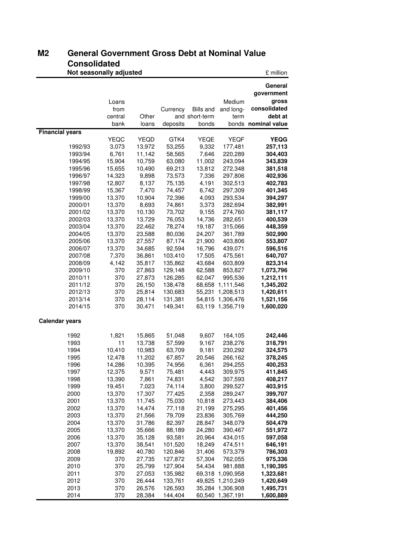# **M2 General Government Gross Debt at Nominal Value Consolidated**

| UUIISUIIUALEU<br>Not seasonally adjusted |                  |                  |                    |                         |                               | £ million                      |
|------------------------------------------|------------------|------------------|--------------------|-------------------------|-------------------------------|--------------------------------|
|                                          |                  |                  |                    |                         |                               | General                        |
|                                          |                  |                  |                    |                         |                               | government                     |
|                                          | Loans            |                  |                    |                         | Medium                        | gross                          |
|                                          | from             |                  | Currency           | <b>Bills and</b>        | and long-                     | consolidated                   |
|                                          | central<br>bank  | Other<br>loans   | deposits           | and short-term<br>bonds | term                          | debt at<br>bonds nominal value |
| <b>Financial years</b>                   |                  |                  |                    |                         |                               |                                |
|                                          | <b>YEQC</b>      | <b>YEQD</b>      | GTK4               | YEQE                    | <b>YEQF</b>                   | <b>YEQG</b>                    |
| 1992/93                                  | 3,073            | 13,972           | 53,255             | 9,332                   | 177,481                       | 257,113                        |
| 1993/94                                  | 6,761            | 11,142           | 58,565             | 7,646                   | 220,289                       | 304,403                        |
| 1994/95                                  | 15,904           | 10,759           | 63,080             | 11,002                  | 243,094                       | 343,839                        |
| 1995/96                                  | 15,655           | 10,490           | 69,213             | 13,812                  | 272,348                       | 381,518                        |
| 1996/97                                  | 14,323           | 9,898            | 73,573             | 7,336                   | 297,806                       | 402,936                        |
| 1997/98                                  | 12,807           | 8,137            | 75,135             | 4,191                   | 302,513                       | 402,783                        |
| 1998/99                                  | 15,367           | 7,470            | 74,457             | 6,742                   | 297,309                       | 401,345                        |
| 1999/00                                  | 13,370           | 10,904           | 72,396             | 4,093                   | 293,534                       | 394,297                        |
| 2000/01                                  | 13,370           | 8,693            | 74,861             | 3,373                   | 282,694                       | 382,991                        |
| 2001/02                                  | 13,370           | 10,130<br>13,729 | 73,702             | 9,155                   | 274,760                       | 381,117                        |
| 2002/03<br>2003/04                       | 13,370<br>13,370 | 22,462           | 76,053<br>78,274   | 14,736<br>19,187        | 282,651<br>315,066            | 400,539<br>448,359             |
| 2004/05                                  | 13,370           | 23,588           | 80,036             | 24,207                  | 361,789                       | 502,990                        |
| 2005/06                                  | 13,370           | 27,557           | 87,174             | 21,900                  | 403,806                       | 553,807                        |
| 2006/07                                  | 13,370           | 34,685           | 92,594             | 16,796                  | 439,071                       | 596,516                        |
| 2007/08                                  | 7,370            | 36,861           | 103,410            | 17,505                  | 475,561                       | 640,707                        |
| 2008/09                                  | 4,142            | 35,817           | 135,862            | 43,684                  | 603,809                       | 823,314                        |
| 2009/10                                  | 370              | 27,863           | 129,148            | 62,588                  | 853,827                       | 1,073,796                      |
| 2010/11                                  | 370              | 27,873           | 126,285            | 62,047                  | 995,536                       | 1,212,111                      |
| 2011/12                                  | 370              | 26,150           | 138,478            | 68,658                  | 1,111,546                     | 1,345,202                      |
| 2012/13                                  | 370              | 25,814           | 130,683            | 55,231                  | 1,208,513                     | 1,420,611                      |
| 2013/14                                  | 370              | 28,114           | 131,381            | 54,815                  | 1,306,476                     | 1,521,156                      |
| 2014/15                                  | 370              | 30,471           | 149,341            |                         | 63,119 1,356,719              | 1,600,020                      |
| <b>Calendar years</b>                    |                  |                  |                    |                         |                               |                                |
| 1992                                     | 1,821            | 15,865           | 51,048             | 9,607                   | 164,105                       | 242,446                        |
| 1993                                     | 11               | 13,738           | 57,599             | 9,167                   | 238,276                       | 318,791                        |
| 1994                                     | 10,410           | 10,983           | 63,709             | 9,181                   | 230,292                       | 324,575                        |
| 1995                                     | 12,478           | 11,202           | 67,857             | 20,546                  | 266,162                       | 378,245                        |
| 1996                                     | 14,286           | 10,395           | 74,956             | 6,361                   | 294,255                       | 400,253                        |
| 1997                                     | 12,375           | 9,571            | 75,481             | 4,443                   | 309,975                       | 411,845                        |
| 1998                                     | 13,390           | 7,861            | 74,831             | 4,542                   | 307,593                       | 408,217                        |
| 1999                                     | 19,451           | 7,023            | 74,114             | 3,800                   | 299,527                       | 403,915                        |
| 2000<br>2001                             | 13,370<br>13,370 | 17,307<br>11,745 | 77,425<br>75,030   | 2,358<br>10,818         | 289,247<br>273,443            | 399,707<br>384,406             |
| 2002                                     | 13,370           | 14,474           | 77,118             | 21,199                  | 275,295                       | 401,456                        |
| 2003                                     | 13,370           | 21,566           | 79,709             | 23,836                  | 305,769                       | 444,250                        |
| 2004                                     | 13,370           | 31,786           | 82,397             | 28,847                  | 348,079                       | 504,479                        |
| 2005                                     | 13,370           | 35,666           | 88,189             | 24,280                  | 390,467                       | 551,972                        |
| 2006                                     | 13,370           | 35,128           | 93,581             | 20,964                  | 434,015                       | 597,058                        |
| 2007                                     | 13,370           | 38,541           | 101,520            | 18,249                  | 474,511                       | 646,191                        |
| 2008                                     | 19,892           | 40,780           | 120,846            | 31,406                  | 573,379                       | 786,303                        |
| 2009                                     | 370              | 27,735           | 127,872            | 57,304                  | 762,055                       | 975,336                        |
| 2010                                     | 370              | 25,799           | 127,904            | 54,434                  | 981,888                       | 1,190,395                      |
| 2011                                     | 370              | 27,053           | 135,982            | 69,318                  | 1,090,958                     | 1,323,681                      |
| 2012                                     | 370              | 26,444           | 133,761            | 49,825                  | 1,210,249                     | 1,420,649                      |
| 2013<br>2014                             | 370<br>370       | 26,576<br>28,384 | 126,593<br>144,404 | 35,284                  | 1,306,908<br>60,540 1,367,191 | 1,495,731<br>1,600,889         |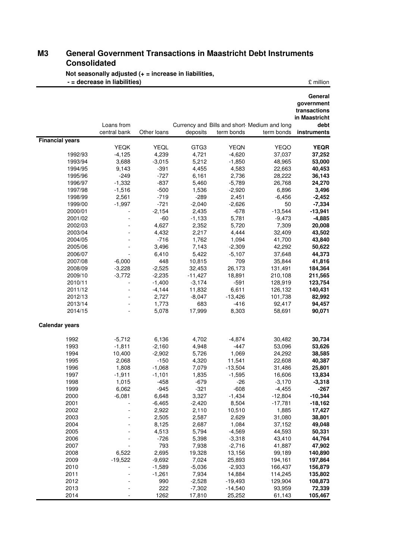### **M3 General Government Transactions in Maastricht Debt Instruments Consolidated**

**Not seasonally adjusted (+ = increase in liabilities,** 

|                        | - = decrease in liabilities) |                  |                 |                    |                                                            | £ million                                                                     |
|------------------------|------------------------------|------------------|-----------------|--------------------|------------------------------------------------------------|-------------------------------------------------------------------------------|
|                        | Loans from<br>central bank   | Other loans      | deposits        | term bonds         | Currency and Bills and short Medium and long<br>term bonds | General<br>government<br>transactions<br>in Maastricht<br>debt<br>instruments |
| <b>Financial years</b> |                              |                  |                 |                    |                                                            |                                                                               |
|                        | <b>YEQK</b>                  | YEQL             | GTG3            | YEQN               | <b>YEQO</b>                                                | <b>YEQR</b>                                                                   |
| 1992/93                | $-4,125$                     | 4,239            | 4,721           | $-4,620$           | 37,037                                                     | 37,252                                                                        |
| 1993/94                | 3,688                        | $-3,015$         | 5,212           | $-1,850$           | 48,965                                                     | 53,000                                                                        |
| 1994/95                | 9,143                        | $-391$           | 4,455           | 4,583              | 22,663                                                     | 40,453                                                                        |
| 1995/96                | $-249$                       | $-727$<br>$-837$ | 6,161           | 2,736              | 28,222                                                     | 36,143                                                                        |
| 1996/97                | $-1,332$<br>$-1,516$         |                  | 5,460           | $-5,789$           | 26,768                                                     | 24,270                                                                        |
| 1997/98<br>1998/99     | 2,561                        | $-500$<br>$-719$ | 1,536<br>$-289$ | $-2,920$<br>2,451  | 6,896<br>$-6,456$                                          | 3,496<br>$-2,452$                                                             |
| 1999/00                | $-1,997$                     | $-721$           | $-2,040$        |                    | 50                                                         | $-7,334$                                                                      |
| 2000/01                |                              | $-2,154$         | 2,435           | $-2,626$<br>$-678$ | $-13,544$                                                  | $-13,941$                                                                     |
| 2001/02                |                              | $-60$            | $-1,133$        | 5,781              | $-9,473$                                                   | $-4,885$                                                                      |
| 2002/03                |                              | 4,627            | 2,352           | 5,720              | 7,309                                                      | 20,008                                                                        |
| 2003/04                |                              | 4,432            | 2,217           | 4,444              | 32,409                                                     | 43,502                                                                        |
| 2004/05                |                              | $-716$           | 1,762           | 1,094              | 41,700                                                     | 43,840                                                                        |
| 2005/06                |                              | 3,496            | 7,143           | $-2,309$           | 42,292                                                     | 50,622                                                                        |
| 2006/07                |                              | 6,410            | 5,422           | $-5,107$           | 37,648                                                     | 44,373                                                                        |
| 2007/08                | $-6,000$                     | 448              | 10,815          | 709                | 35,844                                                     | 41,816                                                                        |
| 2008/09                | $-3,228$                     | $-2,525$         | 32,453          | 26,173             | 131,491                                                    | 184,364                                                                       |
| 2009/10                | $-3,772$                     | $-2,235$         | $-11,427$       | 18,891             | 210,108                                                    | 211,565                                                                       |
| 2010/11                |                              | $-1,400$         | $-3,174$        | $-591$             | 128,919                                                    | 123,754                                                                       |
| 2011/12                |                              | $-4,144$         | 11,832          | 6,611              | 126,132                                                    | 140,431                                                                       |
| 2012/13                |                              | 2,727            | $-8,047$        | $-13,426$          | 101,738                                                    | 82,992                                                                        |
| 2013/14                |                              | 1,773            | 683             | $-416$             | 92,417                                                     | 94,457                                                                        |
| 2014/15                |                              | 5,078            | 17,999          | 8,303              | 58,691                                                     | 90,071                                                                        |
| <b>Calendar years</b>  |                              |                  |                 |                    |                                                            |                                                                               |
|                        |                              |                  |                 |                    |                                                            |                                                                               |
| 1992                   | $-5,712$                     | 6,136            | 4,702           | $-4,874$           | 30,482                                                     | 30,734                                                                        |
| 1993                   | $-1,811$                     | $-2,160$         | 4,948           | $-447$             | 53,096                                                     | 53,626                                                                        |
| 1994                   | 10,400                       | $-2,902$         | 5,726           | 1,069              | 24,292                                                     | 38,585                                                                        |
| 1995                   | 2,068                        | $-150$           | 4,320           | 11,541             | 22,608                                                     | 40,387                                                                        |
| 1996                   | 1,808                        | $-1,068$         | 7,079           | $-13,504$          | 31,486                                                     | 25,801                                                                        |
| 1997                   | $-1,911$                     | $-1,101$         | 1,835           | $-1,595$           | 16,606                                                     | 13,834                                                                        |
| 1998                   | 1,015                        | $-458$           | $-679$          | $-26$              | $-3,170$                                                   | $-3,318$                                                                      |
| 1999                   | 6,062                        | $-945$           | $-321$          | $-608$             | $-4,455$                                                   | $-267$                                                                        |
| 2000                   | $-6,081$                     | 6,648            | 3,327           | $-1,434$           | $-12,804$                                                  | $-10,344$                                                                     |
| 2001                   |                              | $-6,465$         | $-2,420$        | 8,504              | $-17,781$                                                  | $-18,162$                                                                     |
| 2002                   |                              | 2,922            | 2,110           | 10,510             | 1,885                                                      | 17,427                                                                        |
| 2003                   |                              | 2,505            | 2,587           | 2,629              | 31,080                                                     | 38,801                                                                        |
| 2004                   |                              | 8,125            | 2,687           | 1,084              | 37,152                                                     | 49,048                                                                        |
| 2005                   |                              | 4,513            | 5,794           | $-4,569$           | 44,593                                                     | 50,331                                                                        |
| 2006                   |                              | $-726$           | 5,398           | $-3,318$           | 43,410                                                     | 44,764                                                                        |
| 2007                   |                              | 793              | 7,938           | $-2,716$           | 41,887                                                     | 47,902                                                                        |
| 2008                   | 6,522                        | 2,695            | 19,328          | 13,156             | 99,189                                                     | 140,890                                                                       |
| 2009                   | $-19,522$                    | $-9,692$         | 7,024           | 25,893             | 194,161                                                    | 197,864                                                                       |
| 2010                   |                              | $-1,589$         | $-5,036$        | $-2,933$           | 166,437                                                    | 156,879                                                                       |
| 2011                   |                              | $-1,261$         | 7,934           | 14,884             | 114,245                                                    | 135,802                                                                       |
| 2012                   |                              | 990              | $-2,528$        | $-19,493$          | 129,904                                                    | 108,873                                                                       |
| 2013                   |                              | 222              | $-7,302$        | $-14,540$          | 93,959                                                     | 72,339                                                                        |
| 2014                   |                              | 1262             | 17,810          | 25,252             | 61,143                                                     | 105,467                                                                       |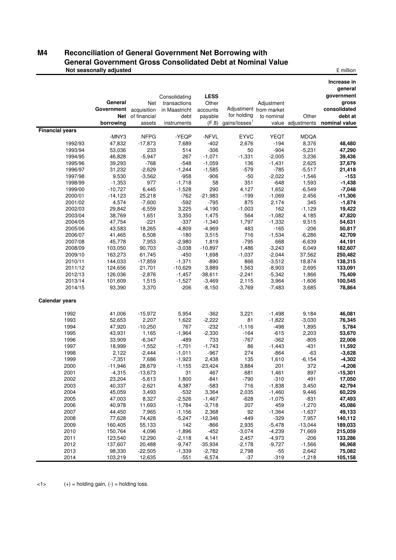### **M4 Reconciliation of General Government Net Borrowing with General Government Gross Consolidated Debt at Nominal Value Not seasonally adjusted Example 2 million 2 million 2 million**

|                        | General<br>Government acquisition<br>borrowing | Net<br>Net of financial<br>assets | Consolidating<br>transactions<br>in Maastricht<br>debt<br>instruments | <b>LESS</b><br>Other<br>accounts<br>payable | for holding<br>$(F.8)$ gains/losses <sup>1</sup> | Adjustment<br>Adjustment from market<br>to nominal | Other<br>value adjustments | Increase in<br>general<br>government<br>gross<br>consolidated<br>debt at<br>nominal value |
|------------------------|------------------------------------------------|-----------------------------------|-----------------------------------------------------------------------|---------------------------------------------|--------------------------------------------------|----------------------------------------------------|----------------------------|-------------------------------------------------------------------------------------------|
| <b>Financial years</b> |                                                |                                   |                                                                       |                                             |                                                  |                                                    |                            |                                                                                           |
|                        | -MNY3                                          | <b>NFPG</b>                       | -YEQP                                                                 | -NFVL                                       | <b>EYVC</b>                                      | <b>YEQT</b>                                        | <b>MDQA</b>                |                                                                                           |
| 1992/93                | 47,832                                         | $-17,873$                         | 7,689                                                                 | $-402$                                      | 2,676                                            | $-194$                                             | 8,376                      | 48,480                                                                                    |
| 1993/94                | 53,036                                         | 233                               | 514                                                                   | $-306$                                      | 50                                               | $-904$                                             | $-5,231$                   | 47,290                                                                                    |
| 1994/95                | 46,828                                         | $-5,947$                          | 267                                                                   | $-1,071$                                    | $-1,331$                                         | $-2,005$                                           | 3,236                      | 39,436                                                                                    |
| 1995/96                | 39,293                                         | $-768$                            | $-548$                                                                | $-1,059$                                    | 136                                              | $-1,431$                                           | 2,625                      | 37,679                                                                                    |
| 1996/97                | 31,232                                         | $-2,629$                          | $-1,244$                                                              | $-1,585$                                    | $-579$                                           | $-785$                                             | $-5,517$                   | 21,418                                                                                    |
| 1997/98                | 9,530                                          | $-3,562$                          | $-958$                                                                | $-906$                                      | $-50$                                            | $-2,022$                                           | $-1,546$                   | $-153$                                                                                    |
| 1998/99                | $-1,353$                                       | 977                               | $-1,718$                                                              | 58                                          | 351                                              | $-648$                                             | 1,593                      | $-1,438$                                                                                  |
| 1999/00                | $-10,727$                                      | 6,445                             | $-1,528$                                                              | 290                                         | 4,127                                            | 1,652                                              | $-6,549$                   | $-7,048$                                                                                  |
| 2000/01                | $-14,123$                                      | 25,218                            | $-762$                                                                | $-21,983$                                   | $-199$                                           | $-1,069$                                           | 2,456                      | $-11,306$                                                                                 |
| 2001/02                | 4,574                                          | $-7,600$                          | $-592$                                                                | $-795$                                      | 875                                              | 2,174                                              | 345                        | $-1,874$                                                                                  |
| 2002/03                | 29,842                                         | $-6,559$                          | 3,225                                                                 | $-4,190$                                    | $-1,003$                                         | 162                                                | $-1,129$                   | 19,422                                                                                    |
| 2003/04                | 38,769                                         | 1,651                             | 3,350                                                                 | 1,475                                       | 564                                              | $-1,082$                                           | 4,185                      | 47,820                                                                                    |
| 2004/05                | 47,754                                         | $-221$                            | $-337$                                                                | $-1,340$                                    | 1,797                                            | $-1,332$                                           | 9,515                      | 54,631                                                                                    |
| 2005/06                | 43,583                                         | 18,265                            | $-4,809$                                                              | $-4,969$                                    | 483                                              | $-165$                                             | $-206$                     | 50,817                                                                                    |
| 2006/07<br>2007/08     | 41,465                                         | 6,508                             | $-180$                                                                | 3,515                                       | 716                                              | $-1,534$                                           | $-6,286$                   | 42,709                                                                                    |
| 2008/09                | 45,778<br>103,050                              | 7,953<br>90,703                   | $-2,980$                                                              | 1,819                                       | $-795$<br>1,486                                  | 668                                                | $-6,639$                   | 44,191                                                                                    |
|                        | 163,273                                        | 61,745                            | $-3,038$<br>$-450$                                                    | $-10,897$                                   |                                                  | $-3,243$<br>$-2,044$                               | 6,049                      | 182,607                                                                                   |
| 2009/10<br>2010/11     | 144,033                                        | $-17,859$                         |                                                                       | 1,698<br>$-890$                             | $-1,037$<br>866                                  | $-3,512$                                           | 37,562                     | 250,482                                                                                   |
|                        | 124,656                                        | 21,701                            | $-1,371$<br>$-10,629$                                                 |                                             |                                                  |                                                    | 18,874                     | 138,315                                                                                   |
| 2011/12                |                                                | $-2,876$                          |                                                                       | 3,889                                       | 1,563                                            | $-8,903$                                           | 2,695                      | 133,091                                                                                   |
| 2012/13<br>2013/14     | 126,036<br>101,609                             | 1,515                             | $-1,457$<br>$-1,527$                                                  | $-38,611$<br>$-3,469$                       | $-2,241$<br>2,115                                | $-5,342$<br>3,964                                  | 1,866<br>$-1,606$          | 75,409<br>100,545                                                                         |
| 2014/15                | 93,390                                         | 3,370                             | $-206$                                                                | $-8,150$                                    | $-3,769$                                         | $-7,483$                                           | 3,685                      | 78,864                                                                                    |
|                        |                                                |                                   |                                                                       |                                             |                                                  |                                                    |                            |                                                                                           |
| Calendar years         |                                                |                                   |                                                                       |                                             |                                                  |                                                    |                            |                                                                                           |
| 1992                   | 41,006                                         | $-15,972$                         | 5,954                                                                 | $-362$                                      | 3,221                                            | $-1,498$                                           | 9,184                      | 46,081                                                                                    |
| 1993                   | 52,653                                         | 2,207                             | 1,622                                                                 | $-2,222$                                    | 81                                               | $-1,822$                                           | $-3,030$                   | 76,345                                                                                    |
| 1994                   | 47,920                                         | $-10,250$                         | 767                                                                   | $-232$                                      | $-1,116$                                         | $-498$                                             | 1,895                      | 5,784                                                                                     |
| 1995                   | 43,931                                         | 1,165                             | $-1,964$                                                              | $-2,330$                                    | $-164$                                           | $-615$                                             | 2,203                      | 53,670                                                                                    |
| 1996                   | 33,909                                         | $-6,347$                          | $-489$                                                                | 733                                         | $-767$                                           | $-362$                                             | $-805$                     | 22,008                                                                                    |
| 1997                   | 18,999                                         | $-1,552$                          | $-1,701$                                                              | $-1,743$                                    | 86                                               | $-1,443$                                           | $-431$                     | 11,592                                                                                    |
| 1998                   | 2,122                                          | $-2,444$                          | $-1,011$                                                              | $-967$                                      | 274                                              | $-864$                                             | $-63$                      | $-3,628$                                                                                  |
| 1999                   | $-7,351$                                       | 7,686                             | $-1,923$                                                              | 2,438                                       | 135                                              | 1,610                                              | $-6, 154$                  | $-4,302$                                                                                  |
| 2000                   | $-11,946$                                      | 28,679                            | $-1,155$                                                              | $-23,424$                                   | 3,884                                            | 201                                                | 372                        | $-4,208$                                                                                  |
| 2001                   | $-4,315$                                       | $-13,673$                         | 31                                                                    | 467                                         | 681                                              | 1,461                                              | 897                        | $-15,301$                                                                                 |
| 2002                   | 23,204                                         | $-5,613$                          | 1,800                                                                 | -841                                        | $-790$                                           | $-310$                                             | 491                        | 17,050                                                                                    |
| 2003                   | 40,337                                         | $-2,621$                          | 4,387                                                                 | $-583$                                      | 716                                              | $-1,838$                                           | 3,450                      | 42,794                                                                                    |
| 2004                   | 45,059                                         | 3,493                             | $-532$                                                                | 3,364                                       | 2,035                                            | $-1,460$                                           | 9,446                      | 60,229                                                                                    |
| 2005                   | 47,003                                         | 8,327                             | $-2,526$                                                              | $-1,467$                                    | $-628$                                           | $-1,075$                                           | $-831$                     | 47,493                                                                                    |
| 2006                   | 40,978                                         | 11,693                            | $-1,784$                                                              | $-3,718$                                    | 207                                              | 459                                                | $-1,270$                   | 45,086                                                                                    |
| 2007                   | 44,450                                         | 7,965                             | $-1,156$                                                              | 2,368                                       | 92                                               | $-1,364$                                           | $-1,637$                   | 49,133                                                                                    |
| 2008                   | 77,628                                         | 74,428                            | $-5,247$                                                              | $-12,346$                                   | $-449$                                           | $-329$                                             | 7,957                      | 140,112                                                                                   |
| 2009                   | 160,405                                        | 55,133                            | 142                                                                   | $-866$                                      | 2,935                                            | $-5,478$                                           | $-13,044$                  | 189,033                                                                                   |
| 2010                   | 150,764                                        | 4,096                             | $-1,896$                                                              | $-452$                                      | $-3,074$                                         | $-4,239$                                           | 71,669                     | 215,059                                                                                   |
| 2011                   | 123,540                                        | 12,290                            | $-2,118$                                                              | 4,141                                       | 2,457                                            | $-4,973$                                           | $-206$                     | 133,286                                                                                   |
| 2012                   | 137,607                                        | 20,488                            | $-9,747$                                                              | $-35,934$                                   | $-2,178$                                         | $-9,727$                                           | $-1,566$                   | 96,968                                                                                    |
| 2013                   | 98,330                                         | $-22,505$                         | $-1,339$                                                              | $-2,782$                                    | 2,798                                            | $-55$                                              | 2,642                      | 75,082                                                                                    |
| 2014                   | 103,219                                        | 12,635                            | -551                                                                  | $-6,574$                                    | $-37$                                            | $-319$                                             | $-1,218$                   | 105,158                                                                                   |

 $\langle -1 \rangle$  (+) = holding gain, (-) = holding loss.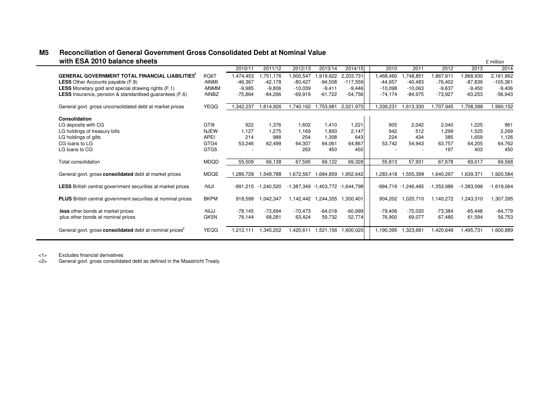| WILL LOA ZUTU DURILUE SIIEELS                                        |             |            |            |                                  |                     |                     |           |                     |            |              | <b>LUMINOI</b> |
|----------------------------------------------------------------------|-------------|------------|------------|----------------------------------|---------------------|---------------------|-----------|---------------------|------------|--------------|----------------|
|                                                                      |             | 2010/11    | 2011/12    | 2012/13                          | 2013/14             | 2014/15             | 2010      | 2011                | 2012       | 2013         | 2014           |
| <b>GENERAL GOVERNMENT TOTAL FINANCIAL LIABILITIES</b>                | KQ6T        | 1,474,453  | 1,751,176  | 1,900,547                        | 1,919,622           | 2,203,731           | 1,468,460 | ,748,851            | 1,867,911  | 868,930      | 2,161,862      |
| <b>LESS</b> Other Accounts payable (F.8)                             | -NNMI       | $-46,367$  | $-42,178$  | $-80,427$                        | $-94,508$           | $-117,559$          | $-44,957$ | $-40,483$           | $-76,402$  | $-87,839$    | $-105,361$     |
| <b>LESS</b> Monetary gold and special drawing rights (F.1)           | M9MM-       | $-9,985$   | $-9,806$   | $-10,039$                        | $-9.411$            | $-9.446$            | $-10,098$ | $-10,063$           | $-9,637$   | $-9,450$     | $-9,406$       |
| LESS Insurance, pension & standardised guarantees (F.6)              | -NNBZ       | $-75,864$  | $-84,266$  | $-69,919$                        | $-61,722$           | $-54,756$           | $-74,174$ | $-84,975$           | $-73,927$  | $-63,253$    | $-56,943$      |
| General govt. gross unconsolidated debt at market prices             | <b>YEQQ</b> | 1,342,237  | 1,614,926  | 1,740,162                        | 1,753,981           | 2,021,970           | 1,339,231 | 1,613,330           | 1,707,945  | 1,708,388    | 1,990,152      |
| Consolidation                                                        |             |            |            |                                  |                     |                     |           |                     |            |              |                |
| LG deposits with CG                                                  | GTI9        | 922        | 1,376      | 1,602                            | 1,410               | 1,221               | 905       | 2,042               | 2,040      | 1,225        | 961            |
| LG holdings of treasury bills                                        | <b>NJEW</b> | 1,127      | 1.275      | 1,169                            | 1,893               | 2.147               | 942       | 512                 | 1,299      | 1,525        | 2,269          |
| LG holdings of gilts                                                 | APEI        | 214        | 988        | 254                              | 1,308               | 643                 | 224       | 434                 | 385        | 1,659        | 1,126          |
| CG loans to LG                                                       | GTG4        | 53,246     | 62,499     | 64,307                           | 64,061              | 64,867              | 53,742    | 54,943              | 63.757     | 64,205       | 64,762         |
| LG loans to CG                                                       | GTG5        |            |            | 263                              | 450                 | 450                 |           |                     | 197        | 403          | 450            |
| Total consolidation                                                  | MDQD        | 55,509     | 66,138     | 67,595                           | 69,122              | 69,328              | 55,813    | 57,931              | 67,678     | 69,017       | 69,568         |
| General govt. gross consolidated debt at market prices               | MDQE        | 1,286,728  | 1,548,788  | 1,672,567                        |                     | 1,684,859 1,952,642 | 1,283,418 | 1,555,399           | 1,640,267  | 1,639,371    | 1,920,584      |
| <b>LESS</b> British central government securities at market prices   | -NIJI       | $-991,215$ | -1,240,520 | -1,387,349 -1,403,772 -1,644,798 |                     |                     |           | -994,719 -1,246,485 | -1,353,986 | $-1,383,096$ | $-1,619,064$   |
| <b>PLUS</b> British central government securities at nominal prices  | <b>BKPM</b> | 918,599    | 1,042,347  | 1,142,442                        | 1,244,355 1,300,401 |                     | 904,202   | ,020,710            | 1,140,272  | 1,243,310    | 1,307,395      |
| :less other bonds at market prices                                   | -NIJJ       | $-78,145$  | $-73.694$  | $-70.473$                        | $-64.018$           | $-60,999$           | $-79,406$ | $-75,020$           | $-73,384$  | $-65,448$    | $-64,779$      |
| plus other bonds at nominal prices:                                  | GK5N        | 76,144     | 68,281     | 63,424                           | 59,732              | 52,774              | 76,900    | 69,077              | 67,480     | 61,594       | 56,753         |
| General govt. gross consolidated debt at nominal prices <sup>2</sup> | YEQG        | 1,212,111  | 1,345,202  | 1,420,611                        | 1,521,156           | 1,600,020           | 1,190,395 | ,323,681            | 1,420,649  | 1,495,731    | 1,600,889      |

### **M5 Reconciliation of General Government Gross Consolidated Debt at Nominal Value uith ESA 2010 balance sheets**  $\epsilon$  million

<1> Excludes financial derivatives

General govt. gross consolidated debt as defined in the Maastricht Treaty.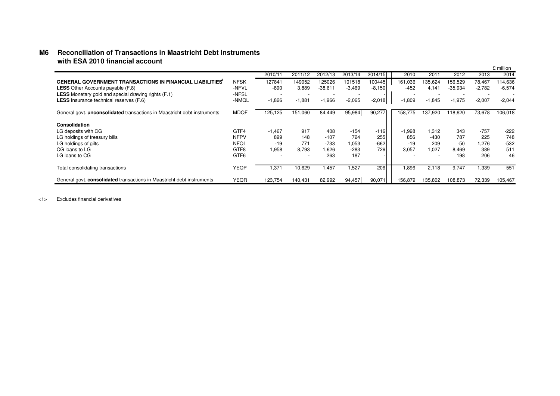### **M6 Reconciliation of Transactions in Maastricht Debt Instruments with ESA 2010 financial account**

|                                                                                 |                  |                          |                          |                          |                          |          |          |                          |                          |                          | £ million |
|---------------------------------------------------------------------------------|------------------|--------------------------|--------------------------|--------------------------|--------------------------|----------|----------|--------------------------|--------------------------|--------------------------|-----------|
|                                                                                 |                  | 2010/11                  | 2011/12                  | 2012/13                  | 2013/14                  | 2014/15  | 2010     | 201 <sup>1</sup>         | 2012                     | 2013                     | 2014      |
| <b>GENERAL GOVERNMENT TRANSACTIONS IN FINANCIAL LIABILITIES</b>                 | <b>NFSK</b>      | 127841                   | 149052                   | 125026                   | 101518                   | 100445   | 161,036  | 135,624                  | 156,529                  | 78,467                   | 114,636   |
| <b>LESS</b> Other Accounts payable (F.8)                                        | -NFVL            | $-890$                   | 3,889                    | $-38,611$                | $-3,469$                 | $-8,150$ | $-452$   | 4.141                    | $-35,934$                | $-2,782$                 | $-6,574$  |
| <b>LESS</b> Monetary gold and special drawing rights (F.1)                      | -NFSL            | $\overline{\phantom{0}}$ | $\overline{\phantom{0}}$ | $\overline{\phantom{a}}$ | $\overline{\phantom{a}}$ |          | $\sim$   | $\overline{\phantom{a}}$ | $\overline{\phantom{a}}$ | $\overline{\phantom{a}}$ |           |
| <b>LESS</b> Insurance technical reserves (F.6)                                  | -NMQL            | $-1,826$                 | $-1,881$                 | $-1,966$                 | $-2,065$                 | $-2,018$ | $-1,809$ | $-1,845$                 | $-1,975$                 | $-2,007$                 | $-2,044$  |
| General govt. <b>unconsolidated</b> transactions in Maastricht debt instruments | <b>MDQF</b>      | 125,125                  | 151,060                  | 84,449                   | 95,984                   | 90,277   | 158,775  | 137,920                  | 118,620                  | 73,678                   | 106,018   |
| Consolidation                                                                   |                  |                          |                          |                          |                          |          |          |                          |                          |                          |           |
| LG deposits with CG                                                             | GTF4             | $-1.467$                 | 917                      | 408                      | $-154$                   | $-116$   | $-1,998$ | 1.312                    | 343                      | $-757$                   | $-222$    |
| LG holdings of treasury bills                                                   | <b>NFPV</b>      | 899                      | 148                      | $-107$                   | 724                      | 255      | 856      | $-430$                   | 787                      | 225                      | 748       |
| LG holdings of gilts                                                            | <b>NFOI</b>      | $-19$                    | 771                      | $-733$                   | 1,053                    | $-662$   | $-19$    | 209                      | $-50$                    | 1,276                    | $-532$    |
| CG loans to LG                                                                  | GTF8             | 1,958                    | 8,793                    | 1,626                    | $-283$                   | 729      | 3,057    | 1,027                    | 8.469                    | 389                      | 511       |
| LG loans to CG                                                                  | GTF <sub>6</sub> | $\overline{\phantom{a}}$ |                          | 263                      | 187                      |          |          | <b>.</b>                 | 198                      | 206                      | 46        |
| Total consolidating transactions                                                | YEQP             | 1,371                    | 10,629                   | 1,457                    | .527                     | 206      | 1,896    | 2.118                    | 9.747                    | 1,339                    | 551       |
| General govt. consolidated transactions in Maastricht debt instruments          | <b>YEQR</b>      | 123.754                  | 140.431                  | 82,992                   | 94,457                   | 90,071   | 156.879  | 135.802                  | 108.873                  | 72.339                   | 105,467   |

<1> Excludes financial derivatives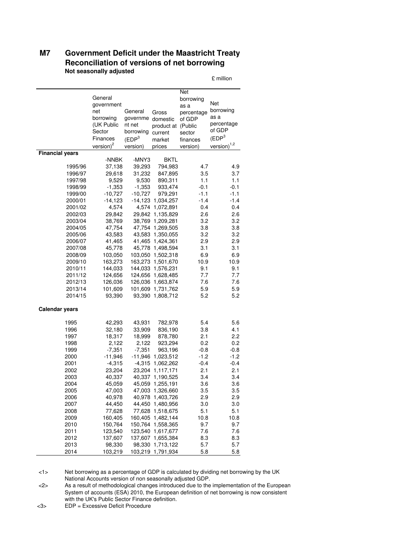### **M7 Government Deficit under the Maastricht Treaty Reconciliation of versions of net borrowing Not seasonally adjusted**

£ million

|                        |                       |                     |                   | Net        |                     |
|------------------------|-----------------------|---------------------|-------------------|------------|---------------------|
|                        | General<br>government |                     |                   | borrowing  | Net                 |
|                        | net                   | General             |                   | as a       | borrowing           |
|                        |                       |                     | Gross             | percentage | as a                |
|                        | borrowing             | governme            | domestic          | of GDP     | percentage          |
|                        | (UK Public            | nt net              | product at        | (Public    | of GDP              |
|                        | Sector                | borrowing           | current           | sector     |                     |
|                        | Finances              | (EDP <sup>3</sup> ) | market            | finances   | (EDP <sup>3</sup> ) |
|                        | $version)^2$          | version)            | prices            | version)   | $version)^{1,2}$    |
| <b>Financial years</b> |                       |                     |                   |            |                     |
|                        | -NNBK                 | -MNY3               | <b>BKTL</b>       |            |                     |
| 1995/96                | 37,138                | 39,293              | 794,983           | 4.7        | 4.9                 |
| 1996/97                | 29,618                | 31,232              | 847,895           | 3.5        | 3.7                 |
| 1997/98                | 9,529                 | 9,530               | 890,311           | 1.1        | 1.1                 |
| 1998/99                | $-1,353$              | $-1,353$            | 933,474           | $-0.1$     | $-0.1$              |
| 1999/00                | $-10,727$             | $-10,727$           | 979,291           | $-1.1$     | $-1.1$              |
| 2000/01                | $-14,123$             |                     | -14,123 1,034,257 | $-1.4$     | $-1.4$              |
| 2001/02                | 4,574                 | 4,574               | 1,072,891         | 0.4        | 0.4                 |
| 2002/03                | 29,842                |                     | 29,842 1,135,829  | 2.6        | 2.6                 |
| 2003/04                | 38,769                | 38,769              | 1,209,281         | 3.2        | 3.2                 |
| 2004/05                | 47,754                |                     | 47,754 1,269,505  | 3.8        | 3.8                 |
| 2005/06                | 43,583                |                     | 43,583 1,350,055  | 3.2        | 3.2                 |
| 2006/07                | 41,465                | 41,465              | 1,424,361         | 2.9        | 2.9                 |
| 2007/08                | 45,778                |                     | 45,778 1,498,594  | 3.1        | 3.1                 |
| 2008/09                | 103,050               | 103,050             | 1,502,318         | 6.9        | 6.9                 |
| 2009/10                | 163,273               | 163,273             | 1,501,670         | 10.9       | 10.9                |
| 2010/11                | 144,033               |                     | 144,033 1,576,231 | 9.1        | 9.1                 |
| 2011/12                | 124,656               |                     | 124,656 1,628,485 | 7.7        | 7.7                 |
| 2012/13                | 126,036               |                     | 126,036 1,663,874 | 7.6        | 7.6                 |
| 2013/14                | 101,609               |                     | 101,609 1,731,762 | 5.9        | 5.9                 |
|                        |                       |                     |                   |            |                     |
| 2014/15                | 93,390                |                     | 93,390 1,808,712  | 5.2        | 5.2                 |
| <b>Calendar years</b>  |                       |                     |                   |            |                     |
|                        |                       |                     |                   |            |                     |
| 1995                   | 42,293                | 43,931              | 782,978           | 5.4        | 5.6                 |
| 1996                   | 32,180                | 33,909              | 836,190           | 3.8        | 4.1                 |
| 1997                   | 18,317                | 18,999              | 878,780           | 2.1        | 2.2                 |
| 1998                   | 2,122                 | 2,122               | 923,294           | 0.2        | 0.2                 |
| 1999                   | $-7,351$              | $-7,351$            | 963,196           | $-0.8$     | $-0.8$              |
| 2000                   | $-11,946$             | -11,946             | 1,023,512         | $-1.2$     | $-1.2$              |
| 2001                   | $-4,315$              | $-4,315$            | 1,062,262         | $-0.4$     | $-0.4$              |
| 2002                   | 23,204                | 23,204              | 1,117,171         | 2.1        | 2.1                 |
| 2003                   | 40,337                |                     | 40,337 1,190,525  | 3.4        | 3.4                 |
| 2004                   | 45,059                |                     | 45,059 1,255,191  | 3.6        | 3.6                 |
| 2005                   | 47,003                |                     | 47,003 1,326,660  | 3.5        | 3.5                 |
| 2006                   | 40,978                | 40,978              | 1,403,726         | 2.9        | 2.9                 |
| 2007                   | 44,450                | 44,450              | 1,480,956         | 3.0        | 3.0                 |
| 2008                   | 77,628                | 77,628              | 1,518,675         | 5.1        | 5.1                 |
| 2009                   | 160,405               | 160,405             | 1,482,144         | 10.8       | 10.8                |
| 2010                   | 150,764               | 150,764             | 1,558,365         | 9.7        | 9.7                 |
| 2011                   | 123,540               | 123,540             | 1,617,677         | 7.6        | 7.6                 |
| 2012                   | 137,607               | 137,607             | 1,655,384         | 8.3        | 8.3                 |
| 2013                   | 98,330                | 98,330              | 1,713,122         | 5.7        | 5.7                 |
| 2014                   | 103,219               | 103,219             | 1,791,934         | 5.8        | 5.8                 |

 <1> Net borrowing as a percentage of GDP is calculated by dividing net borrowing by the UK National Accounts version of non seasonally adjusted GDP.

 <2> As a result of methodological changes introduced due to the implementation of the European System of accounts (ESA) 2010, the European definition of net borrowing is now consistent with the UK's Public Sector Finance definition.

<3> EDP = Excessive Deficit Procedure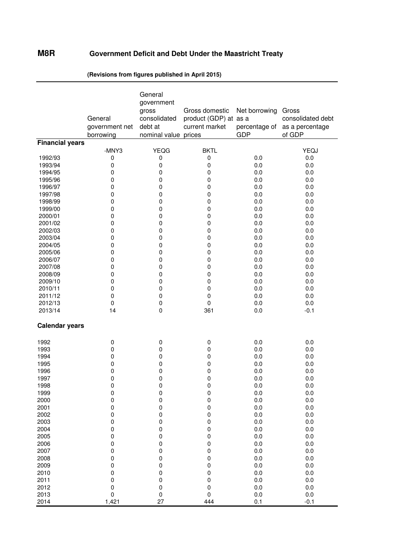### **M8R Government Deficit and Debt Under the Maastricht Treaty**

|                        | General<br>government net<br>borrowing | General<br>government<br>gross<br>consolidated<br>debt at<br>nominal value prices | Gross domestic<br>product (GDP) at as a<br>current market | Net borrowing<br><b>GDP</b> | Gross<br>consolidated debt<br>percentage of as a percentage<br>of GDP |
|------------------------|----------------------------------------|-----------------------------------------------------------------------------------|-----------------------------------------------------------|-----------------------------|-----------------------------------------------------------------------|
| <b>Financial years</b> |                                        |                                                                                   |                                                           |                             |                                                                       |
|                        | -MNY3                                  | <b>YEQG</b>                                                                       | <b>BKTL</b>                                               |                             | YEQJ                                                                  |
| 1992/93                | 0                                      | 0                                                                                 | 0                                                         | 0.0                         | 0.0                                                                   |
| 1993/94                | 0                                      | 0                                                                                 | 0                                                         | 0.0                         | 0.0                                                                   |
| 1994/95                | 0                                      | 0                                                                                 | 0                                                         | 0.0                         | 0.0                                                                   |
| 1995/96                | 0                                      | 0                                                                                 | 0                                                         | 0.0                         | 0.0                                                                   |
| 1996/97                | 0                                      | 0                                                                                 | 0                                                         | 0.0                         | 0.0                                                                   |
| 1997/98                | 0                                      | 0                                                                                 | 0                                                         | 0.0                         | 0.0                                                                   |
| 1998/99                | 0                                      | 0                                                                                 | 0                                                         | 0.0                         | 0.0                                                                   |
| 1999/00                | 0                                      | 0                                                                                 | 0                                                         | 0.0                         | 0.0                                                                   |
| 2000/01                | 0                                      | 0                                                                                 | 0                                                         | 0.0                         | 0.0                                                                   |
| 2001/02                | 0                                      | 0                                                                                 | 0                                                         | 0.0                         | 0.0                                                                   |
| 2002/03                | 0                                      | 0                                                                                 | 0                                                         | 0.0                         | 0.0                                                                   |
| 2003/04                | 0                                      | 0                                                                                 | 0                                                         | 0.0                         | 0.0                                                                   |
| 2004/05                | 0                                      | 0                                                                                 | 0                                                         | 0.0                         | 0.0                                                                   |
| 2005/06                | 0                                      | 0                                                                                 | 0                                                         | 0.0                         | 0.0                                                                   |
| 2006/07                | 0                                      | 0                                                                                 | 0                                                         | 0.0                         | 0.0                                                                   |
| 2007/08                | 0                                      | 0                                                                                 | $\mathbf 0$                                               | 0.0                         | 0.0                                                                   |
| 2008/09                | 0                                      | 0                                                                                 | 0                                                         | 0.0                         | 0.0                                                                   |
| 2009/10                | 0                                      | 0                                                                                 | 0                                                         | 0.0                         | 0.0                                                                   |
| 2010/11                | 0                                      | 0                                                                                 | 0                                                         | 0.0                         | 0.0                                                                   |
| 2011/12                | 0                                      | 0                                                                                 | $\pmb{0}$                                                 | 0.0                         | 0.0                                                                   |
| 2012/13                | 0                                      | 0                                                                                 | $\pmb{0}$                                                 | 0.0                         | 0.0                                                                   |
| 2013/14                | 14                                     | $\pmb{0}$                                                                         | 361                                                       | 0.0                         | $-0.1$                                                                |
| <b>Calendar years</b>  |                                        |                                                                                   |                                                           |                             |                                                                       |
| 1992                   | 0                                      | 0                                                                                 | 0                                                         | 0.0                         | 0.0                                                                   |
| 1993                   | 0                                      | 0                                                                                 | 0                                                         | 0.0                         | 0.0                                                                   |
| 1994                   | 0                                      | 0                                                                                 | 0                                                         | 0.0                         | 0.0                                                                   |
| 1995                   | 0                                      | 0                                                                                 | 0                                                         | 0.0                         | 0.0                                                                   |
| 1996                   | 0                                      | 0                                                                                 | 0                                                         | 0.0                         | 0.0                                                                   |
| 1997                   | 0                                      | 0                                                                                 | 0                                                         | 0.0                         | 0.0                                                                   |
| 1998                   | 0                                      | 0                                                                                 | 0                                                         | 0.0                         | 0.0                                                                   |
| 1999                   | 0                                      | 0                                                                                 | 0                                                         | 0.0                         | 0.0                                                                   |
| 2000                   | $\pmb{0}$                              | $\pmb{0}$                                                                         | $\pmb{0}$                                                 | 0.0                         | $0.0\,$                                                               |
| 2001                   | $\pmb{0}$                              | 0                                                                                 | 0                                                         | 0.0                         | $0.0\,$                                                               |
| 2002                   | $\pmb{0}$                              | 0                                                                                 | 0                                                         | 0.0                         | $0.0\,$                                                               |
| 2003                   | 0                                      | 0                                                                                 | 0                                                         | $0.0\,$                     | 0.0                                                                   |
| 2004                   | 0                                      | 0                                                                                 | 0                                                         | 0.0                         | $0.0\,$                                                               |
| 2005                   | 0                                      | 0                                                                                 | 0                                                         | 0.0                         | $0.0\,$                                                               |
| 2006                   | 0                                      | 0                                                                                 | 0                                                         | 0.0                         | $0.0\,$                                                               |
| 2007                   | 0                                      | 0                                                                                 | 0                                                         | 0.0                         | $0.0\,$                                                               |
| 2008                   | 0                                      | 0                                                                                 | 0                                                         | 0.0                         | $0.0\,$                                                               |
| 2009                   | 0                                      | 0                                                                                 | 0                                                         | 0.0                         | 0.0                                                                   |
| 2010                   | 0                                      | 0                                                                                 | 0                                                         | 0.0                         | 0.0                                                                   |
| 2011                   | 0                                      | 0                                                                                 | 0                                                         | 0.0                         | $0.0\,$                                                               |
| 2012                   | 0                                      | 0                                                                                 | 0                                                         | 0.0                         | $0.0\,$                                                               |
| 2013                   | $\pmb{0}$                              | $\pmb{0}$                                                                         | $\mathbf 0$                                               | 0.0                         | $0.0\,$                                                               |
| 2014                   | 1,421                                  | 27                                                                                | 444                                                       | 0.1                         | $-0.1$                                                                |

**(Revisions from figures published in April 2015)**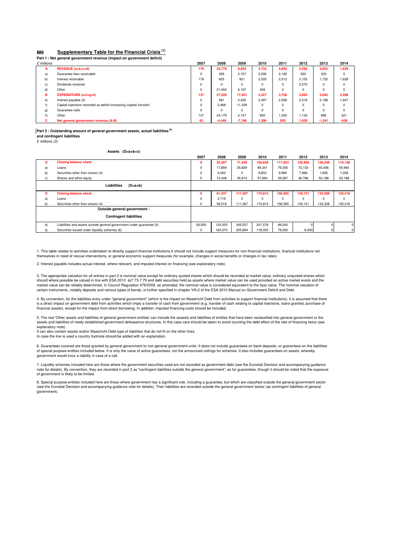#### **M9 Supplementary Table for the Financial Crisis (1)**

**Part 1 : Net general government revenue (impact on government deficit)**

| £ millions |                                                                      | 2007     | 2008     | 2009     | 2010     | 2011     | 2012  | 2013     | 2014     |
|------------|----------------------------------------------------------------------|----------|----------|----------|----------|----------|-------|----------|----------|
| А          | REVENUE (a+b+c+d)                                                    | 179      | 22.779   | 9,825    | 4,733    | 4,693    | 5.292 | 2,052    | 1,629    |
| a)         | Guarantee fees receivable                                            | $\Omega$ | 399      | 2.707    | 2.290    | 2.180    | 920   | 320      | $\Omega$ |
| b)         | Interest receivable                                                  | 179      | 925      | 921      | 2.035    | 2.513    | 2.102 | 1.732    | 1,629    |
| c)         | Dividends received                                                   | $\Omega$ | $\Omega$ | 0        | n        | 0        | 2.270 | 0        |          |
| d)         | Other                                                                | $\Omega$ | 21.455   | 6.197    | 408      | $\Omega$ |       | $\Omega$ |          |
| в          | $EXPENDITIVE(E+f+q+h)$                                               | 137      | 27.228   | 17.021   | 3.427    | 3.758    | 3.663 | 3,093    | 2,268    |
| e)         | Interest payable (2)                                                 | $\Omega$ | 581      | 2.935    | 2.497    | 2.558    | 2.518 | 2.198    | 1,947    |
|            | Capital injections recorded as deficit-increasing (capital transfer) | $\Omega$ | 2.468    | 11.339   | $\Omega$ | 0        |       | $\Omega$ | n        |
| g)         | Guarantee calls                                                      | $\Omega$ | $\Omega$ | $\Omega$ | $\Omega$ | $\Omega$ |       | $\Omega$ |          |
| h)         | Other                                                                | 137      | 24.179   | 2.747    | 930      | 1,200    | 1.145 | 895      | 321      |
| с          | Net general government revenue (A-B)                                 | 42       | $-4,449$ | $-7,196$ | 1,306    | 935      | 1,629 | $-1,041$ | $-639$   |

**Part 2 : Outstanding amount of general government assets, actual liabilities (4)** 

**and contingent liabilities** £ millions (3)

**Assets (D=a+b+c)**

|    |                                                                       | 2007        | 2008    | 2009     | 2010    | 2011    | 2012     | 2013           | 2014     |
|----|-----------------------------------------------------------------------|-------------|---------|----------|---------|---------|----------|----------------|----------|
| D  | <b>Closing balance sheet</b>                                          | $\Omega$    | 35,307  | 71,439   | 156,638 | 117,923 | 126,856  | 120,249        | 110,156  |
| a) | Loans                                                                 | $\mathbf 0$ | 17,859  | 25,829   | 89,341  | 79,356  | 72,102   | 65,406         | 55,960   |
| b) | Securities other than shares (4)                                      | $\mathbf 0$ | 5,000   | $\Omega$ | 9.603   | 8,980   | 7.968    | 1,655          | 1,008    |
| C) | Shares and other equity                                               | 0           | 12,448  | 45,610   | 57,694  | 29,587  | 46,786   | 53,188         | 53,188   |
|    | Liabilities<br>$(D=a+b)$                                              |             |         |          |         |         |          |                |          |
| D  | <b>Closing balance sheet</b>                                          | $\Omega$    | 61,237  | 111,287  | 170,815 | 156,595 | 145,121  | 133,308        | 125,416  |
| a) | Loans                                                                 | $\mathbf 0$ | 2,719   | $\Omega$ | 0       |         | $\Omega$ | $\Omega$       | $\Omega$ |
| b) | Securities other than shares (4)                                      | 0           | 58,518  | 111,287  | 170,815 | 156,595 | 145,121  | 133,308        | 125,416  |
|    | Outside general government -                                          |             |         |          |         |         |          |                |          |
|    | <b>Contingent liabilities</b>                                         |             |         |          |         |         |          |                |          |
| d) | Liabilities and assets outside general government under guarantee (5) | 26,930      | 125,000 | 345,537  | 247,578 | 89,200  |          |                | 0        |
| e) | Securities issued under liquidity schemes (6)                         | 0           | 184,570 | 205.694  | 118,000 | 79,000  | 8,000    | $\overline{0}$ | 0        |

1. This table relates to activities undertaken to directly support financial institutions.It should not include support measures for non-financial institutions, financial institutions not<br>themselves in need of rescue inter

2. Interest payable includes actual interest, where relevant, and imputed interest on financing (see explanatory note).

3. The appropriate valuation for all entries in part 2 is nominal value except for ordinary quoted shares which should be recorded at market value, ordinary unquoted shares which<br>should where possible be valued in line wit market value can be reliably determined. In Council Regulation 479/2009, as amended, the nominal value is considered equivalent to the face value. The nominal valuation of<br>certain instruments, notably deposits and various

4. By convention, for the liabilities entry under "general government" (which is the impact on Maastricht Debt from activities to support financial institutions), it is assumed that there is a direct impact on government debt from activities which imply a transfer of cash from government (e.g. transfer of cash relating to capital injections, loans granted, purchase of<br>financial assets), except for the impac

5. The row 'Other assets and liabilities of general government entities' can include the assests and liabilities of entities that have been reclassified into general government or the assets and liabilities of newly established government defeasance structures. In this case care should be taken to avoid counting the debt effect of the rate of financing twice (see explanatory note).

It can also contain assets and/or Maastricht Debt type of liabilities that do not fit on the other lines. In case the line is used a country footnote should be added with an explanation

6. Guarantees covered are those granted by general government to non-general government units. It does not include guarantees on bank deposits, or guarantees on the liabilities<br>of special purpose entities included below. I government would incur a liability in case of a call.

7. Liquidity schemes included here are those where the government securities used are not recorded as government debt (see the Eurostat Decision and accompanying guidance note for details). By convention, they are recorded in part 2 as "contingent liabilities outside the general government", as for guarantees, though it should be noted that the exposure of government is likely to be limited.

8. Special purpose entities included here are those where government has a significant role, including a guarantee, but which are classified outside the general government sector<br>(see the Eurostat Decision and accompanying government).